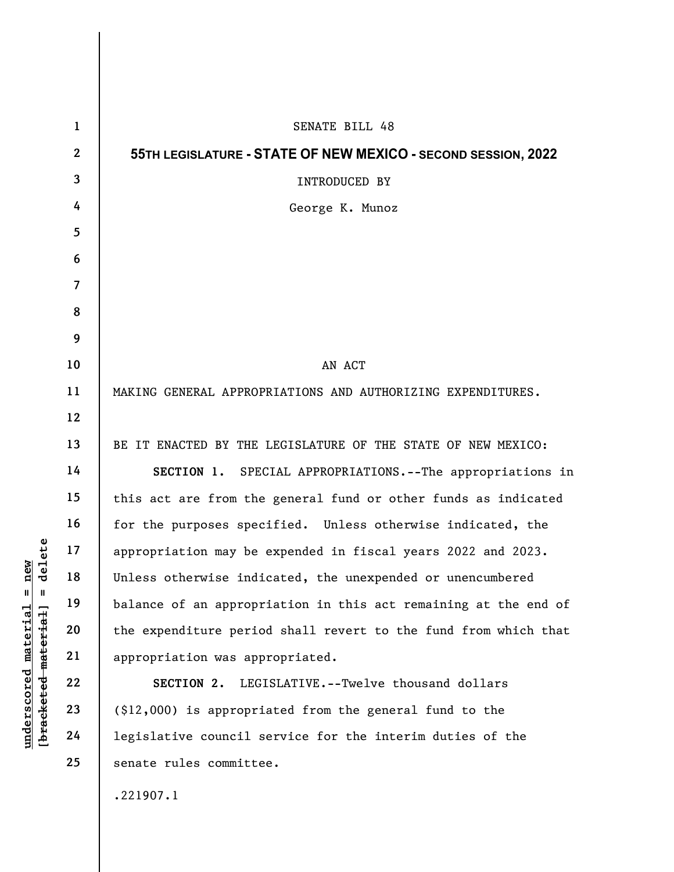|                                                 | $\mathbf{1}$   | SENATE BILL 48                                                  |
|-------------------------------------------------|----------------|-----------------------------------------------------------------|
|                                                 | $\overline{2}$ | 55TH LEGISLATURE - STATE OF NEW MEXICO - SECOND SESSION, 2022   |
|                                                 | $\mathbf{3}$   | INTRODUCED BY                                                   |
|                                                 | 4              | George K. Munoz                                                 |
|                                                 | 5              |                                                                 |
|                                                 | 6              |                                                                 |
|                                                 | $\overline{7}$ |                                                                 |
|                                                 | 8              |                                                                 |
|                                                 | 9              |                                                                 |
|                                                 | 10             | AN ACT                                                          |
|                                                 | 11             | MAKING GENERAL APPROPRIATIONS AND AUTHORIZING EXPENDITURES.     |
|                                                 | 12             |                                                                 |
|                                                 | 13             | BE IT ENACTED BY THE LEGISLATURE OF THE STATE OF NEW MEXICO:    |
| delete<br>new<br>$\mathbb{I}$<br>$\blacksquare$ | 14             | SECTION 1. SPECIAL APPROPRIATIONS.--The appropriations in       |
|                                                 | 15             | this act are from the general fund or other funds as indicated  |
|                                                 | 16             | for the purposes specified. Unless otherwise indicated, the     |
|                                                 | 17             | appropriation may be expended in fiscal years 2022 and 2023.    |
|                                                 | 18             | Unless otherwise indicated, the unexpended or unencumbered      |
|                                                 | 19             | balance of an appropriation in this act remaining at the end of |
|                                                 | 20             | the expenditure period shall revert to the fund from which that |
|                                                 | 21             | appropriation was appropriated.                                 |
|                                                 | 22             | SECTION 2. LEGISLATIVE.--Twelve thousand dollars                |
| underscored material<br>[bracketed-material]    | 23             | (\$12,000) is appropriated from the general fund to the         |
|                                                 | 24             | legislative council service for the interim duties of the       |
|                                                 | 25             | senate rules committee.                                         |
|                                                 |                |                                                                 |

.221907.1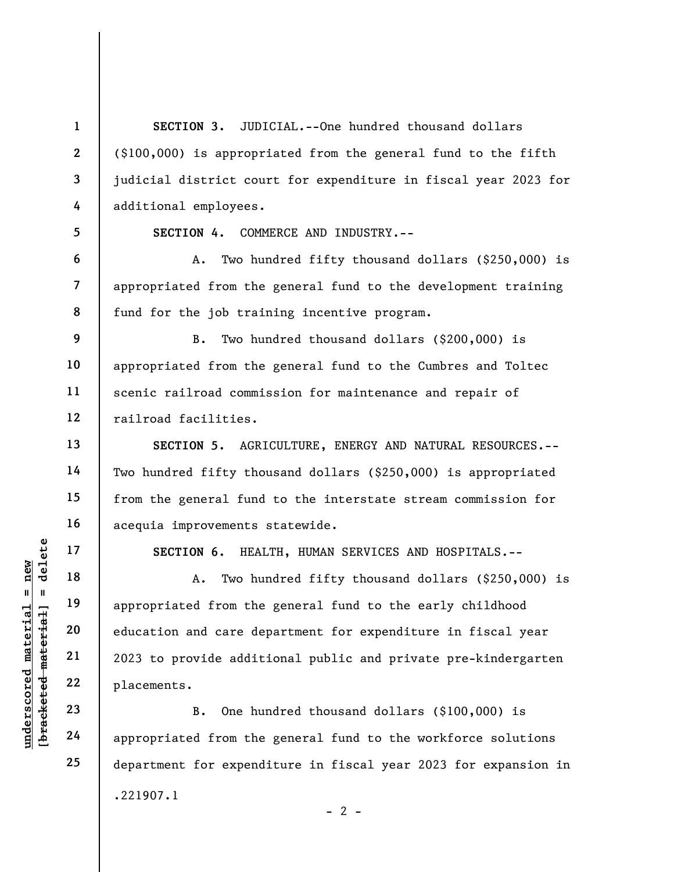understand material material material material appropriated from the<br>distributed material control of the education and care de<br>education and care de<br>distributed 21 2023 to provide addit<br>placements.<br>B. One humps 24 appropri 1 2 3 4 5 6 7 8 9 10 11 12 13 14 15 16 17 22 23 24 25 SECTION 3. JUDICIAL.--One hundred thousand dollars (\$100,000) is appropriated from the general fund to the fifth judicial district court for expenditure in fiscal year 2023 for additional employees. SECTION 4. COMMERCE AND INDUSTRY.-- A. Two hundred fifty thousand dollars (\$250,000) is appropriated from the general fund to the development training fund for the job training incentive program. B. Two hundred thousand dollars (\$200,000) is appropriated from the general fund to the Cumbres and Toltec scenic railroad commission for maintenance and repair of railroad facilities. SECTION 5. AGRICULTURE, ENERGY AND NATURAL RESOURCES.-- Two hundred fifty thousand dollars (\$250,000) is appropriated from the general fund to the interstate stream commission for acequia improvements statewide. SECTION 6. HEALTH, HUMAN SERVICES AND HOSPITALS.-- A. Two hundred fifty thousand dollars (\$250,000) is appropriated from the general fund to the early childhood education and care department for expenditure in fiscal year 2023 to provide additional public and private pre-kindergarten placements. B. One hundred thousand dollars (\$100,000) is appropriated from the general fund to the workforce solutions department for expenditure in fiscal year 2023 for expansion in .221907.1  $- 2 -$